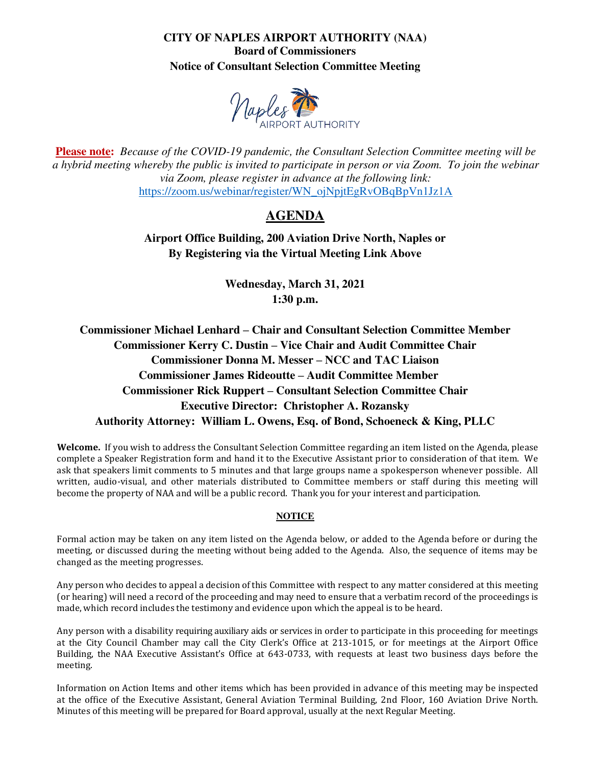# **CITY OF NAPLES AIRPORT AUTHORITY (NAA) Board of Commissioners Notice of Consultant Selection Committee Meeting**



**Please note:** *Because of the COVID-19 pandemic, the Consultant Selection Committee meeting will be a hybrid meeting whereby the public is invited to participate in person or via Zoom. To join the webinar via Zoom, please register in advance at the following link:*  [https://zoom.us/webinar/register/WN\\_ojNpjtEgRvOBqBpVn1Jz1A](https://zoom.us/webinar/register/WN_ojNpjtEgRvOBqBpVn1Jz1A)

# **AGENDA**

**Airport Office Building, 200 Aviation Drive North, Naples or By Registering via the Virtual Meeting Link Above** 

> **Wednesday, March 31, 2021 1:30 p.m.**

**Commissioner Michael Lenhard – Chair and Consultant Selection Committee Member Commissioner Kerry C. Dustin – Vice Chair and Audit Committee Chair Commissioner Donna M. Messer – NCC and TAC Liaison Commissioner James Rideoutte – Audit Committee Member Commissioner Rick Ruppert – Consultant Selection Committee Chair Executive Director: Christopher A. Rozansky Authority Attorney: William L. Owens, Esq. of Bond, Schoeneck & King, PLLC** 

**Welcome.** If you wish to address the Consultant Selection Committee regarding an item listed on the Agenda, please complete a Speaker Registration form and hand it to the Executive Assistant prior to consideration of that item. We ask that speakers limit comments to 5 minutes and that large groups name a spokesperson whenever possible. All written, audio-visual, and other materials distributed to Committee members or staff during this meeting will become the property of NAA and will be a public record. Thank you for your interest and participation.

#### **NOTICE**

Formal action may be taken on any item listed on the Agenda below, or added to the Agenda before or during the meeting, or discussed during the meeting without being added to the Agenda. Also, the sequence of items may be changed as the meeting progresses.

Any person who decides to appeal a decision of this Committee with respect to any matter considered at this meeting (or hearing) will need a record of the proceeding and may need to ensure that a verbatim record of the proceedings is made, which record includes the testimony and evidence upon which the appeal is to be heard.

Any person with a disability requiring auxiliary aids or services in order to participate in this proceeding for meetings at the City Council Chamber may call the City Clerk's Office at 213-1015, or for meetings at the Airport Office Building, the NAA Executive Assistant's Office at 643-0733, with requests at least two business days before the meeting.

Information on Action Items and other items which has been provided in advance of this meeting may be inspected at the office of the Executive Assistant, General Aviation Terminal Building, 2nd Floor, 160 Aviation Drive North. Minutes of this meeting will be prepared for Board approval, usually at the next Regular Meeting.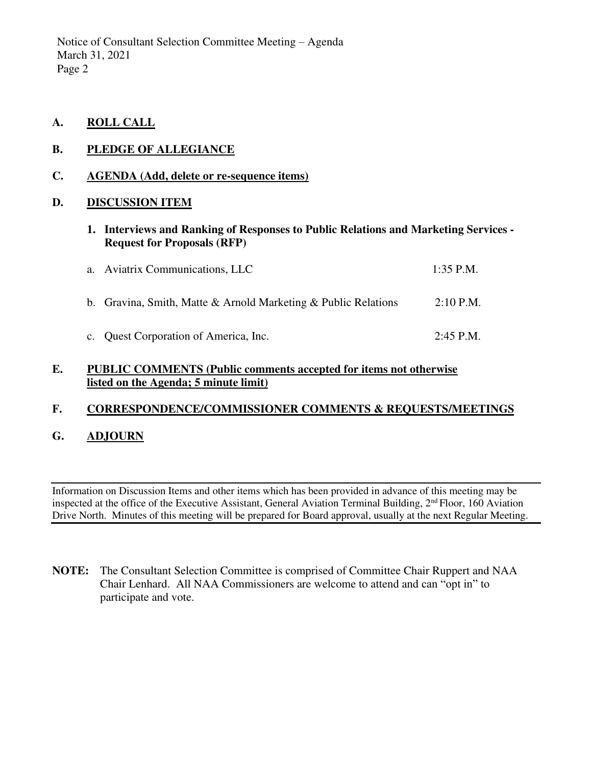- **A. ROLL CALL**
- **B. PLEDGE OF ALLEGIANCE**

### **C. AGENDA (Add, delete or re-sequence items)**

### **D. DISCUSSION ITEM**

**1. Interviews and Ranking of Responses to Public Relations and Marketing Services - Request for Proposals (RFP)** 

| a. Aviatrix Communications, LLC                                | $1:35$ P.M. |
|----------------------------------------------------------------|-------------|
| b. Gravina, Smith, Matte & Arnold Marketing & Public Relations | $2:10$ P.M. |
| c. Quest Corporation of America, Inc.                          | $2:45$ P.M. |

### **E. PUBLIC COMMENTS (Public comments accepted for items not otherwise listed on the Agenda; 5 minute limit)**

## **F. CORRESPONDENCE/COMMISSIONER COMMENTS & REQUESTS/MEETINGS**

# **G. ADJOURN**

Information on Discussion Items and other items which has been provided in advance of this meeting may be inspected at the office of the Executive Assistant, General Aviation Terminal Building,  $2<sup>nd</sup>$  Floor, 160 Aviation Drive North. Minutes of this meeting will be prepared for Board approval, usually at the next Regular Meeting.

**NOTE:** The Consultant Selection Committee is comprised of Committee Chair Ruppert and NAA Chair Lenhard. All NAA Commissioners are welcome to attend and can "opt in" to participate and vote.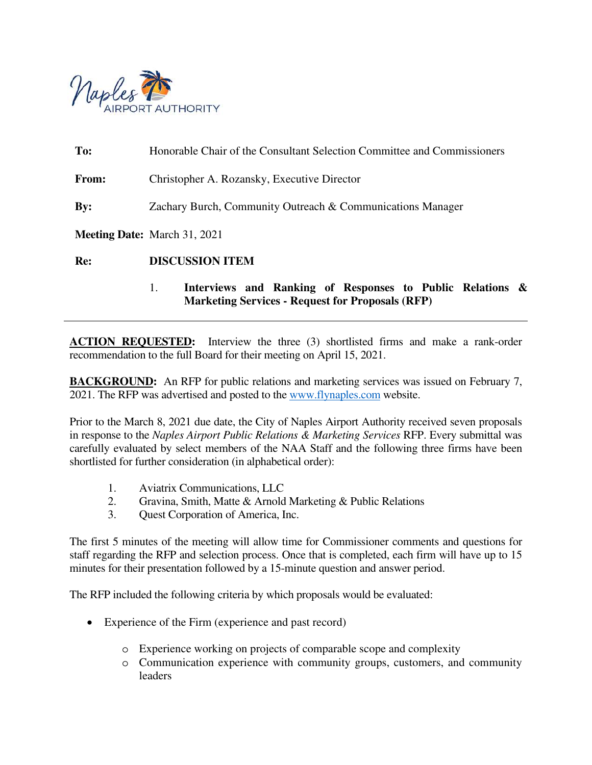

**To:** Honorable Chair of the Consultant Selection Committee and Commissioners **From:** Christopher A. Rozansky, Executive Director **By:** Zachary Burch, Community Outreach & Communications Manager **Meeting Date:** March 31, 2021 **Re: DISCUSSION ITEM**

# 1. **Interviews and Ranking of Responses to Public Relations & Marketing Services - Request for Proposals (RFP)**

**ACTION REQUESTED:** Interview the three (3) shortlisted firms and make a rank-order recommendation to the full Board for their meeting on April 15, 2021.

**BACKGROUND:** An RFP for public relations and marketing services was issued on February 7, 2021. The RFP was advertised and posted to the [www.flynaples.com](http://www.flynaples.com/) website.

Prior to the March 8, 2021 due date, the City of Naples Airport Authority received seven proposals in response to the *Naples Airport Public Relations & Marketing Services* RFP. Every submittal was carefully evaluated by select members of the NAA Staff and the following three firms have been shortlisted for further consideration (in alphabetical order):

- 1. Aviatrix Communications, LLC
- 2. Gravina, Smith, Matte & Arnold Marketing & Public Relations
- 3. Quest Corporation of America, Inc.

The first 5 minutes of the meeting will allow time for Commissioner comments and questions for staff regarding the RFP and selection process. Once that is completed, each firm will have up to 15 minutes for their presentation followed by a 15-minute question and answer period.

The RFP included the following criteria by which proposals would be evaluated:

- Experience of the Firm (experience and past record)
	- o Experience working on projects of comparable scope and complexity
	- o Communication experience with community groups, customers, and community leaders